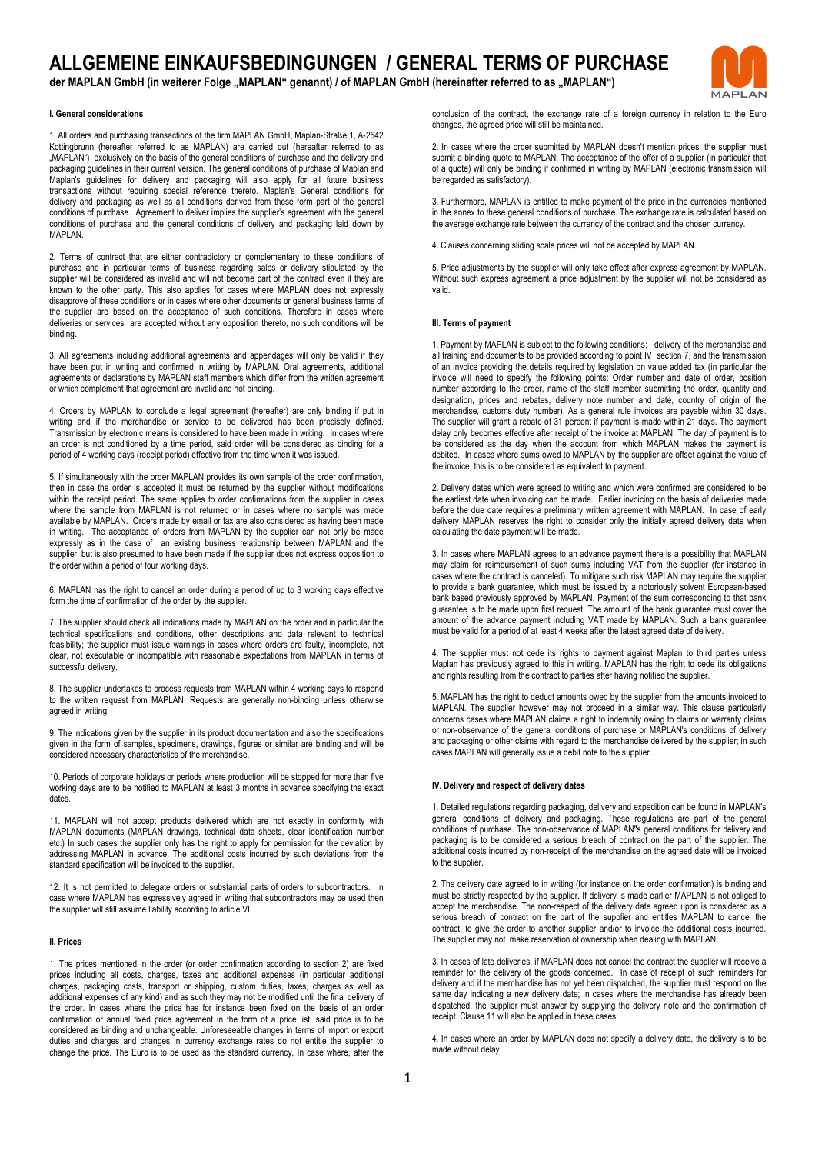# **ALLGEMEINE EINKAUFSBEDINGUNGEN / GENERAL TERMS OF PURCHASE**

der MAPLAN GmbH (in weiterer Folge "MAPLAN" genannt) / of MAPLAN GmbH (hereinafter referred to as "MAPLAN")



1. All orders and purchasing transactions of the firm MAPLAN GmbH, Maplan-Straße 1, A-2542 Kottingbrunn (hereafter referred to as MAPLAN) are carried out (hereafter referred to as "MAPLAN")exclusively on the basis of the general conditions of purchase and the delivery and packaging guidelines in their current version. The general conditions of purchase of Maplan and Maplan's guidelines for delivery and packaging will also apply for all future business transactions without requiring special reference thereto. Maplan's General conditions for delivery and packaging as well as all conditions derived from these form part of the general conditions of purchase. Agreement to deliver implies the supplier's agreement with the general conditions of purchase and the general conditions of delivery and packaging laid down by **MAPLAN** 

2. Terms of contract that are either contradictory or complementary to these conditions of purchase and in particular terms of business regarding sales or delivery stipulated by the supplier will be considered as invalid and will not become part of the contract even if they are known to the other party. This also applies for cases where MAPLAN does not expressly disapprove of these conditions or in cases where other documents or general business terms of the supplier are based on the acceptance of such conditions. Therefore in cases where deliveries or services are accepted without any opposition thereto, no such conditions will be binding.

3. All agreements including additional agreements and appendages will only be valid if they have been put in writing and confirmed in writing by MAPLAN. Oral agreements, additional agreements or declarations by MAPLAN staff members which differ from the written agreement or which complement that agreement are invalid and not binding.

4. Orders by MAPLAN to conclude a legal agreement (hereafter) are only binding if put in writing and if the merchandise or service to be delivered has been precisely defined. Transmission by electronic means is considered to have been made in writing. In cases where an order is not conditioned by a time period, said order will be considered as binding for a period of 4 working days (receipt period) effective from the time when it was issued.

5. If simultaneously with the order MAPLAN provides its own sample of the order confirmation, then in case the order is accepted it must be returned by the supplier without modifications within the receipt period. The same applies to order confirmations from the supplier in cases where the sample from MAPLAN is not returned or in cases where no sample was made available by MAPLAN. Orders made by email or fax are also considered as having been made in writing. The acceptance of orders from MAPLAN by the supplier can not only be made expressly as in the case of an existing business relationship between MAPLAN and the supplier, but is also presumed to have been made if the supplier does not express opposition to the order within a period of four working days.

6. MAPLAN has the right to cancel an order during a period of up to 3 working days effective form the time of confirmation of the order by the supplier.

7. The supplier should check all indications made by MAPLAN on the order and in particular the technical specifications and conditions, other descriptions and data relevant to technical feasibility; the supplier must issue warnings in cases where orders are faulty, incomplete, not clear, not executable or incompatible with reasonable expectations from MAPLAN in terms of successful delivery.

8. The supplier undertakes to process requests from MAPLAN within 4 working days to respond to the written request from MAPLAN. Requests are generally non-binding unless otherwise agreed in writing.

9. The indications given by the supplier in its product documentation and also the specifications given in the form of samples, specimens, drawings, figures or similar are binding and will be considered necessary characteristics of the merchandise.

10. Periods of corporate holidays or periods where production will be stopped for more than five working days are to be notified to MAPLAN at least 3 months in advance specifying the exact dates.

11. MAPLAN will not accept products delivered which are not exactly in conformity with MAPLAN documents (MAPLAN drawings, technical data sheets, clear identification number etc.) In such cases the supplier only has the right to apply for permission for the deviation by addressing MAPLAN in advance. The additional costs incurred by such deviations from the standard specification will be invoiced to the supplier.

12. It is not permitted to delegate orders or substantial parts of orders to subcontractors. In case where MAPLAN has expressively agreed in writing that subcontractors may be used then the supplier will still assume liability according to article VI.

#### **II. Prices**

1. The prices mentioned in the order (or order confirmation according to section 2) are fixed prices including all costs, charges, taxes and additional expenses (in particular additional charges, packaging costs, transport or shipping, custom duties, taxes, charges as well as additional expenses of any kind) and as such they may not be modified until the final delivery of the order. In cases where the price has for instance been fixed on the basis of an order confirmation or annual fixed price agreement in the form of a price list, said price is to be considered as binding and unchangeable. Unforeseeable changes in terms of import or export duties and charges and changes in currency exchange rates do not entitle the supplier to change the price. The Euro is to be used as the standard currency. In case where, after the

**JADIAN** conclusion of the contract, the exchange rate of a foreign currency in relation to the Euro changes, the agreed price will still be maintained.

2. In cases where the order submitted by MAPLAN doesn't mention prices, the supplier must submit a binding quote to MAPLAN. The acceptance of the offer of a supplier (in particular that of a quote) will only be binding if confirmed in writing by MAPLAN (electronic transmission will be regarded as satisfactory).

3. Furthermore, MAPLAN is entitled to make payment of the price in the currencies mentioned in the annex to these general conditions of purchase. The exchange rate is calculated based on the average exchange rate between the currency of the contract and the chosen currency.

4. Clauses concerning sliding scale prices will not be accepted by MAPLAN.

5. Price adjustments by the supplier will only take effect after express agreement by MAPLAN. Without such express agreement a price adjustment by the supplier will not be considered as valid.

# **III. Terms of payment**

1. Payment by MAPLAN is subject to the following conditions: delivery of the merchandise and all training and documents to be provided according to point IV section 7, and the transmission of an invoice providing the details required by legislation on value added tax (in particular the invoice will need to specify the following points: Order number and date of order, position number according to the order, name of the staff member submitting the order, quantity and designation, prices and rebates, delivery note number and date, country of origin of the merchandise, customs duty number). As a general rule invoices are payable within 30 days. The supplier will grant a rebate of 31 percent if payment is made within 21 days. The payment delay only becomes effective after receipt of the invoice at MAPLAN. The day of payment is to be considered as the day when the account from which MAPLAN makes the payment is debited. In cases where sums owed to MAPLAN by the supplier are offset against the value of the invoice, this is to be considered as equivalent to payment.

2. Delivery dates which were agreed to writing and which were confirmed are considered to be the earliest date when invoicing can be made. Earlier invoicing on the basis of deliveries made before the due date requires a preliminary written agreement with MAPLAN. In case of early delivery MAPLAN reserves the right to consider only the initially agreed delivery date when calculating the date payment will be made.

3. In cases where MAPLAN agrees to an advance payment there is a possibility that MAPLAN may claim for reimbursement of such sums including VAT from the supplier (for instance in cases where the contract is canceled). To mitigate such risk MAPLAN may require the supplier to provide a bank guarantee, which must be issued by a notoriously solvent European-based bank based previously approved by MAPLAN. Payment of the sum corresponding to that bank guarantee is to be made upon first request. The amount of the bank guarantee must cover the amount of the advance payment including VAT made by MAPLAN. Such a bank guarantee must be valid for a period of at least 4 weeks after the latest agreed date of delivery

4. The supplier must not cede its rights to payment against Maplan to third parties unless Maplan has previously agreed to this in writing. MAPLAN has the right to cede its obligations and rights resulting from the contract to parties after having notified the supplier.

5. MAPLAN has the right to deduct amounts owed by the supplier from the amounts invoiced to MAPLAN. The supplier however may not proceed in a similar way. This clause particularly concerns cases where MAPLAN claims a right to indemnity owing to claims or warranty claims or non-observance of the general conditions of purchase or MAPLAN's conditions of delivery and packaging or other claims with regard to the merchandise delivered by the supplier; in such cases MAPLAN will generally issue a debit note to the supplier.

### **IV. Delivery and respect of delivery dates**

1. Detailed regulations regarding packaging, delivery and expedition can be found in MAPLAN's general conditions of delivery and packaging. These regulations are part of the general conditions of purchase. The non-observance of MAPLAN''s general conditions for delivery and packaging is to be considered a serious breach of contract on the part of the supplier. The additional costs incurred by non-receipt of the merchandise on the agreed date will be invoiced to the supplier.

2. The delivery date agreed to in writing (for instance on the order confirmation) is binding and must be strictly respected by the supplier. If delivery is made earlier MAPLAN is not obliged to accept the merchandise. The non-respect of the delivery date agreed upon is considered as a serious breach of contract on the part of the supplier and entitles MAPLAN to cancel the contract, to give the order to another supplier and/or to invoice the additional costs incurred. The supplier may not make reservation of ownership when dealing with MAPLAN.

3. In cases of late deliveries, if MAPLAN does not cancel the contract the supplier will receive a reminder for the delivery of the goods concerned. In case of receipt of such reminders for delivery and if the merchandise has not yet been dispatched, the supplier must respond on the same day indicating a new delivery date; in cases where the merchandise has already been dispatched, the supplier must answer by supplying the delivery note and the confirmation of receipt. Clause 11 will also be applied in these cases.

4. In cases where an order by MAPLAN does not specify a delivery date, the delivery is to be made without delay.

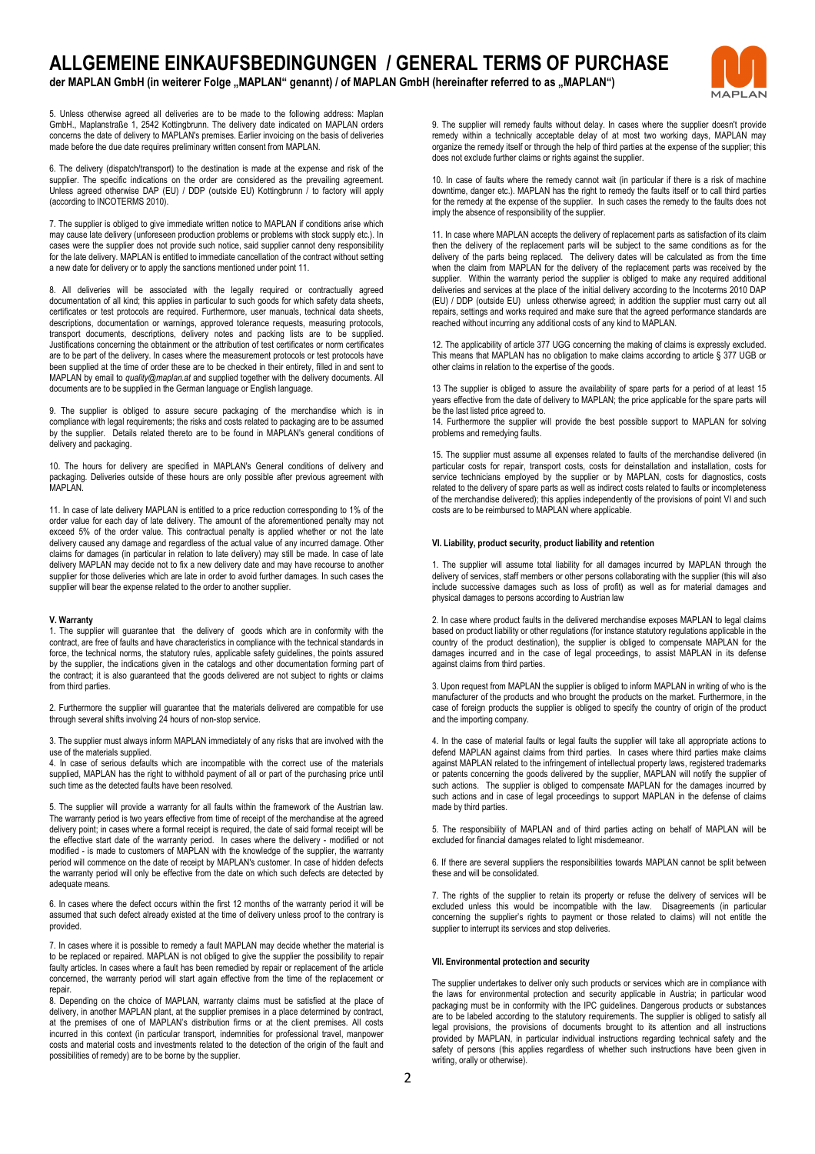# **ALLGEMEINE EINKAUFSBEDINGUNGEN / GENERAL TERMS OF PURCHASE**

der MAPLAN GmbH (in weiterer Folge "MAPLAN" genannt) / of MAPLAN GmbH (hereinafter referred to as "MAPLAN")



5. Unless otherwise agreed all deliveries are to be made to the following address: Maplan GmbH., Maplanstraße 1, 2542 Kottingbrunn. The delivery date indicated on MAPLAN orders concerns the date of delivery to MAPLAN's premises. Earlier invoicing on the basis of deliveries made before the due date requires preliminary written consent from MAPLAN.

6. The delivery (dispatch/transport) to the destination is made at the expense and risk of the supplier. The specific indications on the order are considered as the prevailing agreement. Unless agreed otherwise DAP (EU) / DDP (outside EU) Kottingbrunn / to factory will apply (according to INCOTERMS 2010).

7. The supplier is obliged to give immediate written notice to MAPLAN if conditions arise which may cause late delivery (unforeseen production problems or problems with stock supply etc.). In cases were the supplier does not provide such notice, said supplier cannot deny responsibility for the late delivery. MAPLAN is entitled to immediate cancellation of the contract without setting a new date for delivery or to apply the sanctions mentioned under point 11.

8. All deliveries will be associated with the legally required or contractually agreed documentation of all kind; this applies in particular to such goods for which safety data sheets, certificates or test protocols are required. Furthermore, user manuals, technical data sheets, descriptions, documentation or warnings, approved tolerance requests, measuring protocols, transport documents, descriptions, delivery notes and packing lists are to be supplied. Justifications concerning the obtainment or the attribution of test certificates or norm certificates are to be part of the delivery. In cases where the measurement protocols or test protocols have been supplied at the time of order these are to be checked in their entirety, filled in and sent to MAPLAN by email to *quality@maplan.at* and supplied together with the delivery documents. All documents are to be supplied in the German language or English language.

9. The supplier is obliged to assure secure packaging of the merchandise which is in compliance with legal requirements; the risks and costs related to packaging are to be assumed by the supplier. Details related thereto are to be found in MAPLAN's general conditions of delivery and packaging.

10. The hours for delivery are specified in MAPLAN's General conditions of delivery and packaging. Deliveries outside of these hours are only possible after previous agreement with MAPI AN

11. In case of late delivery MAPLAN is entitled to a price reduction corresponding to 1% of the order value for each day of late delivery. The amount of the aforementioned penalty may not exceed 5% of the order value. This contractual penalty is applied whether or not the late delivery caused any damage and regardless of the actual value of any incurred damage. Other claims for damages (in particular in relation to late delivery) may still be made. In case of late delivery MAPLAN may decide not to fix a new delivery date and may have recourse to another supplier for those deliveries which are late in order to avoid further damages. In such cases the supplier will bear the expense related to the order to another supplier.

### **V. Warranty**

1. The supplier will guarantee that the delivery of goods which are in conformity with the contract, are free of faults and have characteristics in compliance with the technical standards in force, the technical norms, the statutory rules, applicable safety guidelines, the points assured by the supplier, the indications given in the catalogs and other documentation forming part of the contract; it is also guaranteed that the goods delivered are not subject to rights or claims from third parties.

2. Furthermore the supplier will guarantee that the materials delivered are compatible for use through several shifts involving 24 hours of non-stop service.

3. The supplier must always inform MAPLAN immediately of any risks that are involved with the use of the materials supplied.

4. In case of serious defaults which are incompatible with the correct use of the materials supplied, MAPLAN has the right to withhold payment of all or part of the purchasing price until such time as the detected faults have been resolved.

5. The supplier will provide a warranty for all faults within the framework of the Austrian law. The warranty period is two years effective from time of receipt of the merchandise at the agreed delivery point; in cases where a formal receipt is required, the date of said formal receipt will be the effective start date of the warranty period. In cases where the delivery - modified or not modified - is made to customers of MAPLAN with the knowledge of the supplier, the warranty period will commence on the date of receipt by MAPLAN's customer. In case of hidden defects the warranty period will only be effective from the date on which such defects are detected by adequate means.

6. In cases where the defect occurs within the first 12 months of the warranty period it will be assumed that such defect already existed at the time of delivery unless proof to the contrary is provided.

7. In cases where it is possible to remedy a fault MAPLAN may decide whether the material is to be replaced or repaired. MAPLAN is not obliged to give the supplier the possibility to repair faulty articles. In cases where a fault has been remedied by repair or replacement of the article concerned, the warranty period will start again effective from the time of the replacement or repair.

8. Depending on the choice of MAPLAN, warranty claims must be satisfied at the place of delivery, in another MAPLAN plant, at the supplier premises in a place determined by contract, at the premises of one of MAPLAN's distribution firms or at the client premises. All costs incurred in this context (in particular transport, indemnities for professional travel, manpower costs and material costs and investments related to the detection of the origin of the fault and possibilities of remedy) are to be borne by the supplier.

9. The supplier will remedy faults without delay. In cases where the supplier doesn't provide remedy within a technically acceptable delay of at most two working days, MAPLAN may organize the remedy itself or through the help of third parties at the expense of the supplier; this does not exclude further claims or rights against the supplier.

10. In case of faults where the remedy cannot wait (in particular if there is a risk of machine downtime, danger etc.). MAPLAN has the right to remedy the faults itself or to call third parties for the remedy at the expense of the supplier. In such cases the remedy to the faults does not imply the absence of responsibility of the supplier.

11. In case where MAPLAN accepts the delivery of replacement parts as satisfaction of its claim then the delivery of the replacement parts will be subject to the same conditions as for the delivery of the parts being replaced. The delivery dates will be calculated as from the time when the claim from MAPLAN for the delivery of the replacement parts was received by the supplier. Within the warranty period the supplier is obliged to make any required additional deliveries and services at the place of the initial delivery according to the Incoterms 2010 DAP (EU) / DDP (outside EU) unless otherwise agreed; in addition the supplier must carry out all repairs, settings and works required and make sure that the agreed performance standards are reached without incurring any additional costs of any kind to MAPLAN.

12. The applicability of article 377 UGG concerning the making of claims is expressly excluded. This means that MAPLAN has no obligation to make claims according to article § 377 UGB or other claims in relation to the expertise of the goods.

13 The supplier is obliged to assure the availability of spare parts for a period of at least 15 years effective from the date of delivery to MAPLAN; the price applicable for the spare parts will be the last listed price agreed to.

14. Furthermore the supplier will provide the best possible support to MAPLAN for solving problems and remedying faults.

15. The supplier must assume all expenses related to faults of the merchandise delivered (in particular costs for repair, transport costs, costs for deinstallation and installation, costs for service technicians employed by the supplier or by MAPLAN, costs for diagnostics, costs related to the delivery of spare parts as well as indirect costs related to faults or incompleteness of the merchandise delivered); this applies independently of the provisions of point VI and such costs are to be reimbursed to MAPLAN where applicable.

### **VI. Liability, product security, product liability and retention**

1. The supplier will assume total liability for all damages incurred by MAPLAN through the delivery of services, staff members or other persons collaborating with the supplier (this will also include successive damages such as loss of profit) as well as for material damages and physical damages to persons according to Austrian law

2. In case where product faults in the delivered merchandise exposes MAPLAN to legal claims based on product liability or other regulations (for instance statutory regulations applicable in the country of the product destination), the supplier is obliged to compensate MAPLAN for the damages incurred and in the case of legal proceedings, to assist MAPLAN in its defense against claims from third parties.

3. Upon request from MAPLAN the supplier is obliged to inform MAPLAN in writing of who is the manufacturer of the products and who brought the products on the market. Furthermore, in the case of foreign products the supplier is obliged to specify the country of origin of the product and the importing company.

4. In the case of material faults or legal faults the supplier will take all appropriate actions to defend MAPLAN against claims from third parties. In cases where third parties make claims against MAPLAN related to the infringement of intellectual property laws, registered trademarks or patents concerning the goods delivered by the supplier, MAPLAN will notify the supplier of such actions. The supplier is obliged to compensate MAPLAN for the damages incurred by such actions and in case of legal proceedings to support MAPLAN in the defense of claims made by third parties.

5. The responsibility of MAPLAN and of third parties acting on behalf of MAPLAN will be excluded for financial damages related to light misdemeanor.

6. If there are several suppliers the responsibilities towards MAPLAN cannot be split between these and will be consolidated.

7. The rights of the supplier to retain its property or refuse the delivery of services will be excluded unless this would be incompatible with the law. Disagreements (in particular concerning the supplier's rights to payment or those related to claims) will not entitle the supplier to interrupt its services and stop deliveries.

#### **VII. Environmental protection and security**

The supplier undertakes to deliver only such products or services which are in compliance with the laws for environmental protection and security applicable in Austria; in particular wood packaging must be in conformity with the IPC guidelines. Dangerous products or substances are to be labeled according to the statutory requirements. The supplier is obliged to satisfy all legal provisions, the provisions of documents brought to its attention and all instructions provided by MAPLAN, in particular individual instructions regarding technical safety and the safety of persons (this applies regardless of whether such instructions have been given in writing, orally or otherwise).